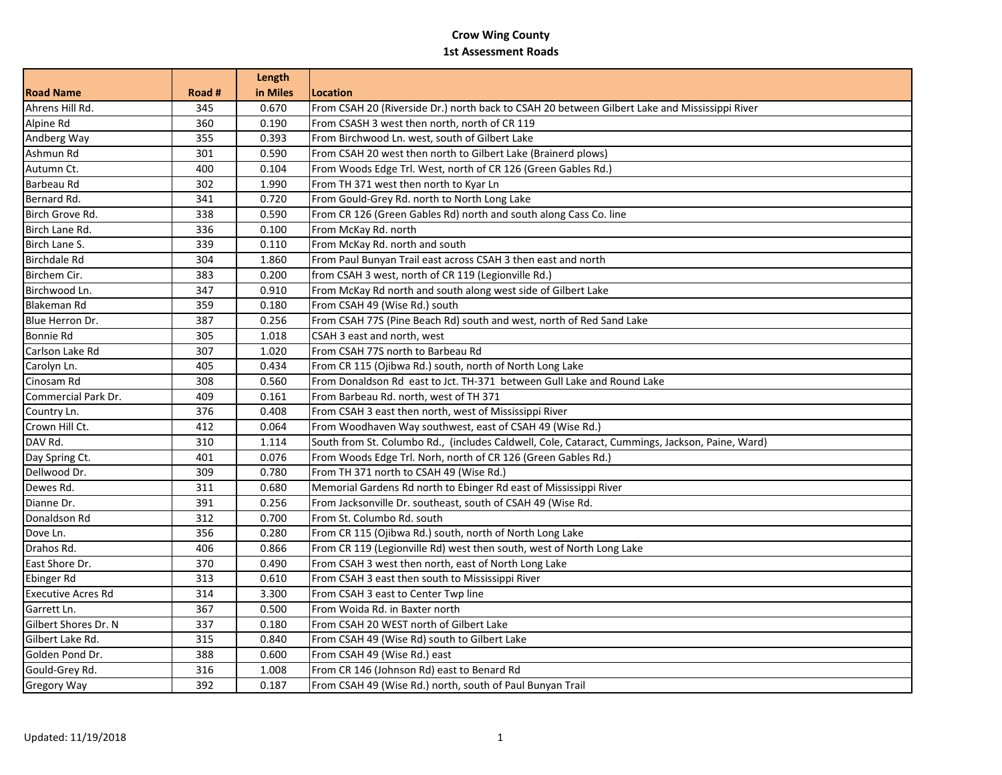## **Crow Wing County 1st Assessment Roads**

|                           |        | Length   |                                                                                                 |
|---------------------------|--------|----------|-------------------------------------------------------------------------------------------------|
| <b>Road Name</b>          | Road # | in Miles | <b>Location</b>                                                                                 |
| Ahrens Hill Rd.           | 345    | 0.670    | From CSAH 20 (Riverside Dr.) north back to CSAH 20 between Gilbert Lake and Mississippi River   |
| Alpine Rd                 | 360    | 0.190    | From CSASH 3 west then north, north of CR 119                                                   |
| Andberg Way               | 355    | 0.393    | From Birchwood Ln. west, south of Gilbert Lake                                                  |
| Ashmun Rd                 | 301    | 0.590    | From CSAH 20 west then north to Gilbert Lake (Brainerd plows)                                   |
| Autumn Ct.                | 400    | 0.104    | From Woods Edge Trl. West, north of CR 126 (Green Gables Rd.)                                   |
| Barbeau Rd                | 302    | 1.990    | From TH 371 west then north to Kyar Ln                                                          |
| Bernard Rd.               | 341    | 0.720    | From Gould-Grey Rd. north to North Long Lake                                                    |
| Birch Grove Rd.           | 338    | 0.590    | From CR 126 (Green Gables Rd) north and south along Cass Co. line                               |
| Birch Lane Rd.            | 336    | 0.100    | From McKay Rd. north                                                                            |
| Birch Lane S.             | 339    | 0.110    | From McKay Rd. north and south                                                                  |
| <b>Birchdale Rd</b>       | 304    | 1.860    | From Paul Bunyan Trail east across CSAH 3 then east and north                                   |
| Birchem Cir.              | 383    | 0.200    | from CSAH 3 west, north of CR 119 (Legionville Rd.)                                             |
| Birchwood Ln.             | 347    | 0.910    | From McKay Rd north and south along west side of Gilbert Lake                                   |
| <b>Blakeman Rd</b>        | 359    | 0.180    | From CSAH 49 (Wise Rd.) south                                                                   |
| Blue Herron Dr.           | 387    | 0.256    | From CSAH 77S (Pine Beach Rd) south and west, north of Red Sand Lake                            |
| Bonnie Rd                 | 305    | 1.018    | CSAH 3 east and north, west                                                                     |
| Carlson Lake Rd           | 307    | 1.020    | From CSAH 77S north to Barbeau Rd                                                               |
| Carolyn Ln.               | 405    | 0.434    | From CR 115 (Ojibwa Rd.) south, north of North Long Lake                                        |
| Cinosam Rd                | 308    | 0.560    | From Donaldson Rd east to Jct. TH-371 between Gull Lake and Round Lake                          |
| Commercial Park Dr.       | 409    | 0.161    | From Barbeau Rd. north, west of TH 371                                                          |
| Country Ln.               | 376    | 0.408    | From CSAH 3 east then north, west of Mississippi River                                          |
| Crown Hill Ct.            | 412    | 0.064    | From Woodhaven Way southwest, east of CSAH 49 (Wise Rd.)                                        |
| DAV Rd.                   | 310    | 1.114    | South from St. Columbo Rd., (includes Caldwell, Cole, Cataract, Cummings, Jackson, Paine, Ward) |
| Day Spring Ct.            | 401    | 0.076    | From Woods Edge Trl. Norh, north of CR 126 (Green Gables Rd.)                                   |
| Dellwood Dr.              | 309    | 0.780    | From TH 371 north to CSAH 49 (Wise Rd.)                                                         |
| Dewes Rd.                 | 311    | 0.680    | Memorial Gardens Rd north to Ebinger Rd east of Mississippi River                               |
| Dianne Dr.                | 391    | 0.256    | From Jacksonville Dr. southeast, south of CSAH 49 (Wise Rd.                                     |
| Donaldson Rd              | 312    | 0.700    | From St. Columbo Rd. south                                                                      |
| Dove Ln.                  | 356    | 0.280    | From CR 115 (Ojibwa Rd.) south, north of North Long Lake                                        |
| Drahos Rd.                | 406    | 0.866    | From CR 119 (Legionville Rd) west then south, west of North Long Lake                           |
| East Shore Dr.            | 370    | 0.490    | From CSAH 3 west then north, east of North Long Lake                                            |
| Ebinger Rd                | 313    | 0.610    | From CSAH 3 east then south to Mississippi River                                                |
| <b>Executive Acres Rd</b> | 314    | 3.300    | From CSAH 3 east to Center Twp line                                                             |
| Garrett Ln.               | 367    | 0.500    | From Woida Rd. in Baxter north                                                                  |
| Gilbert Shores Dr. N      | 337    | 0.180    | From CSAH 20 WEST north of Gilbert Lake                                                         |
| Gilbert Lake Rd.          | 315    | 0.840    | From CSAH 49 (Wise Rd) south to Gilbert Lake                                                    |
| Golden Pond Dr.           | 388    | 0.600    | From CSAH 49 (Wise Rd.) east                                                                    |
| Gould-Grey Rd.            | 316    | 1.008    | From CR 146 (Johnson Rd) east to Benard Rd                                                      |
| <b>Gregory Way</b>        | 392    | 0.187    | From CSAH 49 (Wise Rd.) north, south of Paul Bunyan Trail                                       |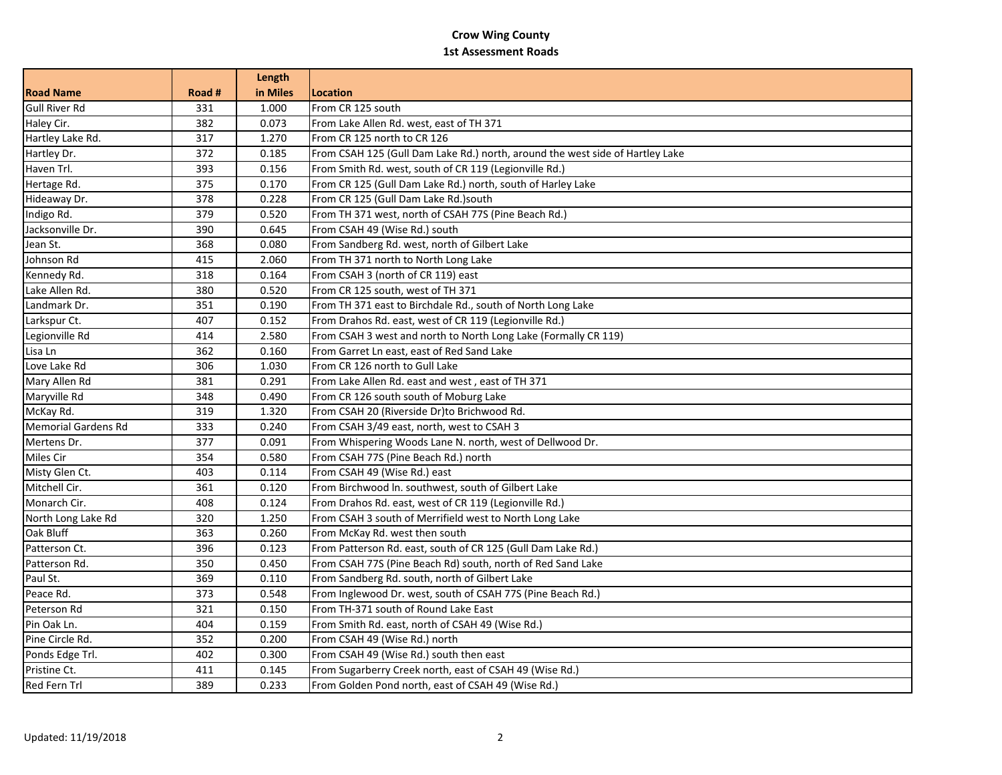## **Crow Wing County 1st Assessment Roads**

|                            |        | Length   |                                                                               |
|----------------------------|--------|----------|-------------------------------------------------------------------------------|
| <b>Road Name</b>           | Road # | in Miles | Location                                                                      |
| <b>Gull River Rd</b>       | 331    | 1.000    | From CR 125 south                                                             |
| Haley Cir.                 | 382    | 0.073    | From Lake Allen Rd. west, east of TH 371                                      |
| Hartley Lake Rd.           | 317    | 1.270    | From CR 125 north to CR 126                                                   |
| Hartley Dr.                | 372    | 0.185    | From CSAH 125 (Gull Dam Lake Rd.) north, around the west side of Hartley Lake |
| Haven Trl.                 | 393    | 0.156    | From Smith Rd. west, south of CR 119 (Legionville Rd.)                        |
| Hertage Rd.                | 375    | 0.170    | From CR 125 (Gull Dam Lake Rd.) north, south of Harley Lake                   |
| Hideaway Dr.               | 378    | 0.228    | From CR 125 (Gull Dam Lake Rd.)south                                          |
| Indigo Rd.                 | 379    | 0.520    | From TH 371 west, north of CSAH 77S (Pine Beach Rd.)                          |
| Jacksonville Dr.           | 390    | 0.645    | From CSAH 49 (Wise Rd.) south                                                 |
| Jean St.                   | 368    | 0.080    | From Sandberg Rd. west, north of Gilbert Lake                                 |
| Johnson Rd                 | 415    | 2.060    | From TH 371 north to North Long Lake                                          |
| Kennedy Rd.                | 318    | 0.164    | From CSAH 3 (north of CR 119) east                                            |
| Lake Allen Rd.             | 380    | 0.520    | From CR 125 south, west of TH 371                                             |
| Landmark Dr.               | 351    | 0.190    | From TH 371 east to Birchdale Rd., south of North Long Lake                   |
| Larkspur Ct.               | 407    | 0.152    | From Drahos Rd. east, west of CR 119 (Legionville Rd.)                        |
| Legionville Rd             | 414    | 2.580    | From CSAH 3 west and north to North Long Lake (Formally CR 119)               |
| Lisa Ln                    | 362    | 0.160    | From Garret Ln east, east of Red Sand Lake                                    |
| Love Lake Rd               | 306    | 1.030    | From CR 126 north to Gull Lake                                                |
| Mary Allen Rd              | 381    | 0.291    | From Lake Allen Rd. east and west, east of TH 371                             |
| Maryville Rd               | 348    | 0.490    | From CR 126 south south of Moburg Lake                                        |
| McKay Rd.                  | 319    | 1.320    | From CSAH 20 (Riverside Dr)to Brichwood Rd.                                   |
| <b>Memorial Gardens Rd</b> | 333    | 0.240    | From CSAH 3/49 east, north, west to CSAH 3                                    |
| Mertens Dr.                | 377    | 0.091    | From Whispering Woods Lane N. north, west of Dellwood Dr.                     |
| Miles Cir                  | 354    | 0.580    | From CSAH 77S (Pine Beach Rd.) north                                          |
| Misty Glen Ct.             | 403    | 0.114    | From CSAH 49 (Wise Rd.) east                                                  |
| Mitchell Cir.              | 361    | 0.120    | From Birchwood In. southwest, south of Gilbert Lake                           |
| Monarch Cir.               | 408    | 0.124    | From Drahos Rd. east, west of CR 119 (Legionville Rd.)                        |
| North Long Lake Rd         | 320    | 1.250    | From CSAH 3 south of Merrifield west to North Long Lake                       |
| Oak Bluff                  | 363    | 0.260    | From McKay Rd. west then south                                                |
| Patterson Ct.              | 396    | 0.123    | From Patterson Rd. east, south of CR 125 (Gull Dam Lake Rd.)                  |
| Patterson Rd.              | 350    | 0.450    | From CSAH 77S (Pine Beach Rd) south, north of Red Sand Lake                   |
| Paul St.                   | 369    | 0.110    | From Sandberg Rd. south, north of Gilbert Lake                                |
| Peace Rd.                  | 373    | 0.548    | From Inglewood Dr. west, south of CSAH 77S (Pine Beach Rd.)                   |
| Peterson Rd                | 321    | 0.150    | From TH-371 south of Round Lake East                                          |
| Pin Oak Ln.                | 404    | 0.159    | From Smith Rd. east, north of CSAH 49 (Wise Rd.)                              |
| Pine Circle Rd.            | 352    | 0.200    | From CSAH 49 (Wise Rd.) north                                                 |
| Ponds Edge Trl.            | 402    | 0.300    | From CSAH 49 (Wise Rd.) south then east                                       |
| Pristine Ct.               | 411    | 0.145    | From Sugarberry Creek north, east of CSAH 49 (Wise Rd.)                       |
| Red Fern Trl               | 389    | 0.233    | From Golden Pond north, east of CSAH 49 (Wise Rd.)                            |